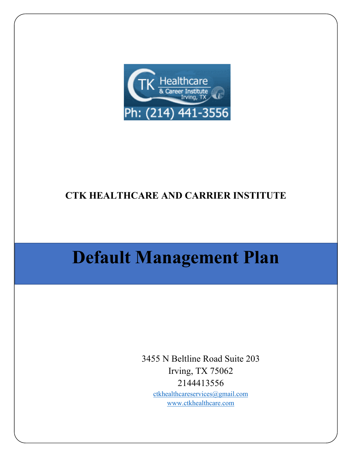

# **CTK HEALTHCARE AND CARRIER INSTITUTE**

# **Default Management Plan**

3455 N Beltline Road Suite 203 Irving, TX 75062 2144413556 [ctkhealthcareservices@gmail.com](mailto:ctkhealthcareservices@gmail.com)

[www.ctkhealthcare.com](http://www.ctkhealthcare.com/)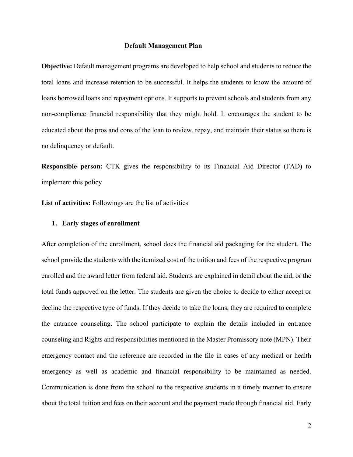#### **Default Management Plan**

**Objective:** Default management programs are developed to help school and students to reduce the total loans and increase retention to be successful. It helps the students to know the amount of loans borrowed loans and repayment options. It supports to prevent schools and students from any non-compliance financial responsibility that they might hold. It encourages the student to be educated about the pros and cons of the loan to review, repay, and maintain their status so there is no delinquency or default.

**Responsible person:** CTK gives the responsibility to its Financial Aid Director (FAD) to implement this policy

**List of activities:** Followings are the list of activities

## **1. Early stages of enrollment**

After completion of the enrollment, school does the financial aid packaging for the student. The school provide the students with the itemized cost of the tuition and fees of the respective program enrolled and the award letter from federal aid. Students are explained in detail about the aid, or the total funds approved on the letter. The students are given the choice to decide to either accept or decline the respective type of funds. If they decide to take the loans, they are required to complete the entrance counseling. The school participate to explain the details included in entrance counseling and Rights and responsibilities mentioned in the Master Promissory note (MPN). Their emergency contact and the reference are recorded in the file in cases of any medical or health emergency as well as academic and financial responsibility to be maintained as needed. Communication is done from the school to the respective students in a timely manner to ensure about the total tuition and fees on their account and the payment made through financial aid. Early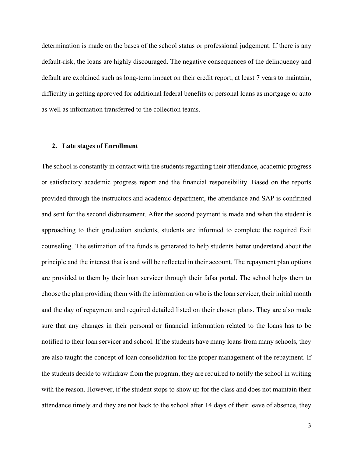determination is made on the bases of the school status or professional judgement. If there is any default-risk, the loans are highly discouraged. The negative consequences of the delinquency and default are explained such as long-term impact on their credit report, at least 7 years to maintain, difficulty in getting approved for additional federal benefits or personal loans as mortgage or auto as well as information transferred to the collection teams.

#### **2. Late stages of Enrollment**

The school is constantly in contact with the students regarding their attendance, academic progress or satisfactory academic progress report and the financial responsibility. Based on the reports provided through the instructors and academic department, the attendance and SAP is confirmed and sent for the second disbursement. After the second payment is made and when the student is approaching to their graduation students, students are informed to complete the required Exit counseling. The estimation of the funds is generated to help students better understand about the principle and the interest that is and will be reflected in their account. The repayment plan options are provided to them by their loan servicer through their fafsa portal. The school helps them to choose the plan providing them with the information on who is the loan servicer, their initial month and the day of repayment and required detailed listed on their chosen plans. They are also made sure that any changes in their personal or financial information related to the loans has to be notified to their loan servicer and school. If the students have many loans from many schools, they are also taught the concept of loan consolidation for the proper management of the repayment. If the students decide to withdraw from the program, they are required to notify the school in writing with the reason. However, if the student stops to show up for the class and does not maintain their attendance timely and they are not back to the school after 14 days of their leave of absence, they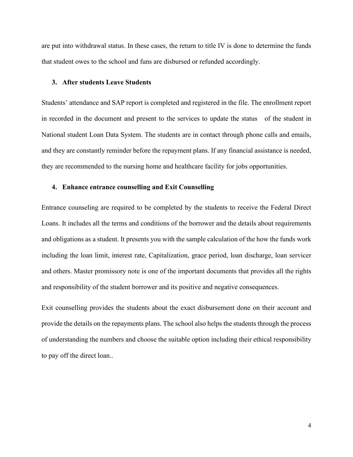are put into withdrawal status. In these cases, the return to title IV is done to determine the funds that student owes to the school and funs are disbursed or refunded accordingly.

#### **3. After students Leave Students**

Students' attendance and SAP report is completed and registered in the file. The enrollment report in recorded in the document and present to the services to update the status of the student in National student Loan Data System. The students are in contact through phone calls and emails, and they are constantly reminder before the repayment plans. If any financial assistance is needed, they are recommended to the nursing home and healthcare facility for jobs opportunities.

## **4. Enhance entrance counselling and Exit Counselling**

Entrance counseling are required to be completed by the students to receive the Federal Direct Loans. It includes all the terms and conditions of the borrower and the details about requirements and obligations as a student. It presents you with the sample calculation of the how the funds work including the loan limit, interest rate, Capitalization, grace period, loan discharge, loan servicer and others. Master promissory note is one of the important documents that provides all the rights and responsibility of the student borrower and its positive and negative consequences.

Exit counselling provides the students about the exact disbursement done on their account and provide the details on the repayments plans. The school also helps the students through the process of understanding the numbers and choose the suitable option including their ethical responsibility to pay off the direct loan..